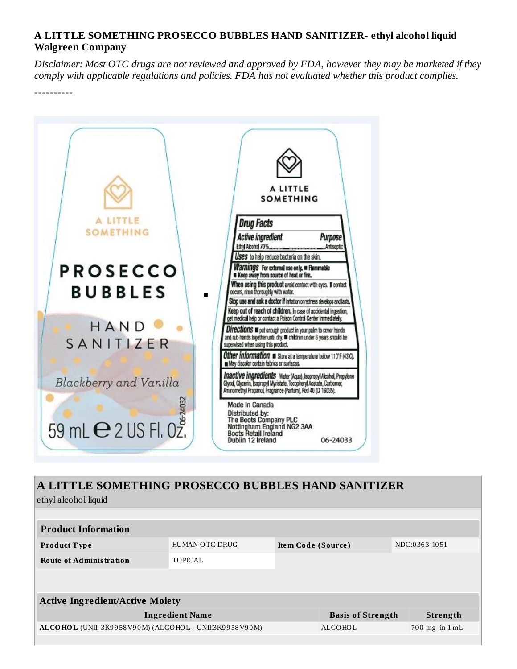## **A LITTLE SOMETHING PROSECCO BUBBLES HAND SANITIZER- ethyl alcohol liquid Walgreen Company**

Disclaimer: Most OTC drugs are not reviewed and approved by FDA, however they may be marketed if they *comply with applicable regulations and policies. FDA has not evaluated whether this product complies.*

----------



## **A LITTLE SOMETHING PROSECCO BUBBLES HAND SANITIZER**

ethyl alcohol liquid

| <b>Product Information</b>                             |                        |                    |                          |               |                    |  |  |  |  |
|--------------------------------------------------------|------------------------|--------------------|--------------------------|---------------|--------------------|--|--|--|--|
| <b>Product Type</b>                                    | HUMAN OTC DRUG         | Item Code (Source) |                          | NDC:0363-1051 |                    |  |  |  |  |
| <b>Route of Administration</b>                         | <b>TOPICAL</b>         |                    |                          |               |                    |  |  |  |  |
|                                                        |                        |                    |                          |               |                    |  |  |  |  |
| <b>Active Ingredient/Active Moiety</b>                 |                        |                    |                          |               |                    |  |  |  |  |
|                                                        | <b>Ingredient Name</b> |                    | <b>Basis of Strength</b> |               | Strength           |  |  |  |  |
| ALCOHOL (UNII: 3K9958V90M) (ALCOHOL - UNII:3K9958V90M) |                        |                    | ALCOHOL                  |               | $700$ mg in $1$ mL |  |  |  |  |
|                                                        |                        |                    |                          |               |                    |  |  |  |  |